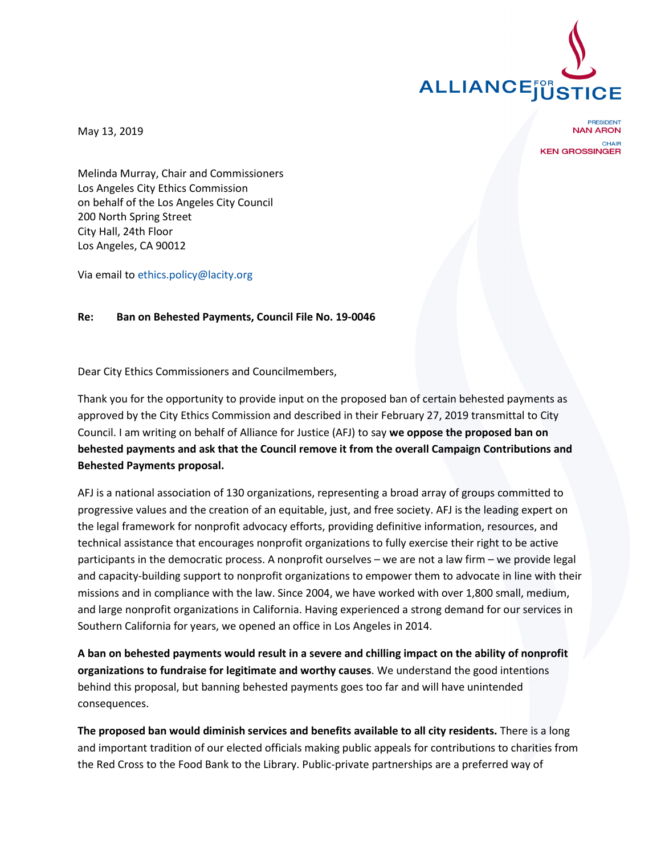

May 13, 2019

**PRESIDENT NAN ARON CHAIR KEN GROSSINGER** 

Melinda Murray, Chair and Commissioners Los Angeles City Ethics Commission on behalf of the Los Angeles City Council 200 North Spring Street City Hall, 24th Floor Los Angeles, CA 90012

Via email to ethics.policy@lacity.org

## **Re: Ban on Behested Payments, Council File No. 19-0046**

Dear City Ethics Commissioners and Councilmembers,

Thank you for the opportunity to provide input on the proposed ban of certain behested payments as approved by the City Ethics Commission and described in their February 27, 2019 transmittal to City Council. I am writing on behalf of Alliance for Justice (AFJ) to say **we oppose the proposed ban on behested payments and ask that the Council remove it from the overall Campaign Contributions and Behested Payments proposal.**

AFJ is a national association of 130 organizations, representing a broad array of groups committed to progressive values and the creation of an equitable, just, and free society. AFJ is the leading expert on the legal framework for nonprofit advocacy efforts, providing definitive information, resources, and technical assistance that encourages nonprofit organizations to fully exercise their right to be active participants in the democratic process. A nonprofit ourselves – we are not a law firm – we provide legal and capacity-building support to nonprofit organizations to empower them to advocate in line with their missions and in compliance with the law. Since 2004, we have worked with over 1,800 small, medium, and large nonprofit organizations in California. Having experienced a strong demand for our services in Southern California for years, we opened an office in Los Angeles in 2014.

**A ban on behested payments would result in a severe and chilling impact on the ability of nonprofit organizations to fundraise for legitimate and worthy causes**. We understand the good intentions behind this proposal, but banning behested payments goes too far and will have unintended consequences.

**The proposed ban would diminish services and benefits available to all city residents.** There is a long and important tradition of our elected officials making public appeals for contributions to charities from the Red Cross to the Food Bank to the Library. Public-private partnerships are a preferred way of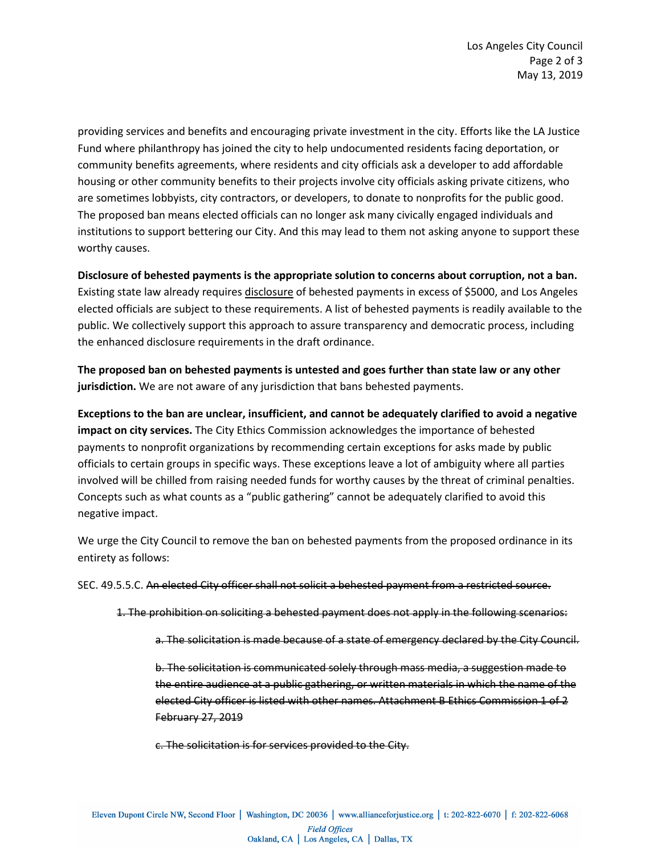providing services and benefits and encouraging private investment in the city. Efforts like the LA Justice Fund where philanthropy has joined the city to help undocumented residents facing deportation, or community benefits agreements, where residents and city officials ask a developer to add affordable housing or other community benefits to their projects involve city officials asking private citizens, who are sometimes lobbyists, city contractors, or developers, to donate to nonprofits for the public good. The proposed ban means elected officials can no longer ask many civically engaged individuals and institutions to support bettering our City. And this may lead to them not asking anyone to support these worthy causes.

**Disclosure of behested payments is the appropriate solution to concerns about corruption, not a ban.** Existing state law already requires disclosure of behested payments in excess of \$5000, and Los Angeles elected officials are subject to these requirements. A list of behested payments is readily available to the public. We collectively support this approach to assure transparency and democratic process, including the enhanced disclosure requirements in the draft ordinance.

**The proposed ban on behested payments is untested and goes further than state law or any other jurisdiction.** We are not aware of any jurisdiction that bans behested payments.

**Exceptions to the ban are unclear, insufficient, and cannot be adequately clarified to avoid a negative impact on city services.** The City Ethics Commission acknowledges the importance of behested payments to nonprofit organizations by recommending certain exceptions for asks made by public officials to certain groups in specific ways. These exceptions leave a lot of ambiguity where all parties involved will be chilled from raising needed funds for worthy causes by the threat of criminal penalties. Concepts such as what counts as a "public gathering" cannot be adequately clarified to avoid this negative impact.

We urge the City Council to remove the ban on behested payments from the proposed ordinance in its entirety as follows:

SEC. 49.5.5.C. An elected City officer shall not solicit a behested payment from a restricted source.

- 1. The prohibition on soliciting a behested payment does not apply in the following scenarios:
	- a. The solicitation is made because of a state of emergency declared by the City Council.

b. The solicitation is communicated solely through mass media, a suggestion made to the entire audience at a public gathering, or written materials in which the name of the elected City officer is listed with other names. Attachment B Ethics Commission 1 of 2 February 27, 2019

c. The solicitation is for services provided to the City.